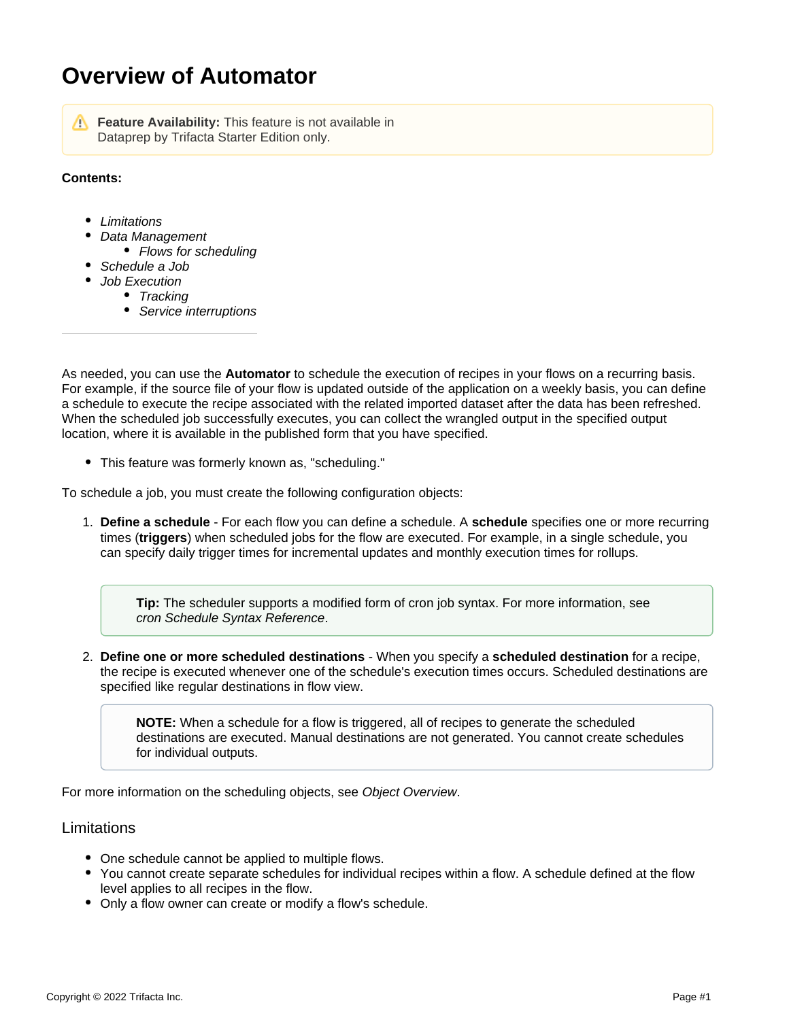# **Overview of Automator**

**Feature Availability:** This feature is not available in Dataprep by Trifacta Starter Edition only.

#### **Contents:**

- [Limitations](#page-0-0)
- [Data Management](#page-1-0)
	- [Flows for scheduling](#page-1-1)
- [Schedule a Job](#page-1-2)
	- [Job Execution](#page-1-3)
		- [Tracking](#page-1-4)
		- [Service interruptions](#page-1-5)

As needed, you can use the **Automator** to schedule the execution of recipes in your flows on a recurring basis. For example, if the source file of your flow is updated outside of the application on a weekly basis, you can define a schedule to execute the recipe associated with the related imported dataset after the data has been refreshed. When the scheduled job successfully executes, you can collect the wrangled output in the specified output location, where it is available in the published form that you have specified.

This feature was formerly known as, "scheduling."

To schedule a job, you must create the following configuration objects:

1. **Define a schedule** - For each flow you can define a schedule. A **schedule** specifies one or more recurring times (**triggers**) when scheduled jobs for the flow are executed. For example, in a single schedule, you can specify daily trigger times for incremental updates and monthly execution times for rollups.

**Tip:** The scheduler supports a modified form of cron job syntax. For more information, see [cron Schedule Syntax Reference](https://docs.trifacta.com/display/DP/cron+Schedule+Syntax+Reference).

2. **Define one or more scheduled destinations** - When you specify a **scheduled destination** for a recipe, the recipe is executed whenever one of the schedule's execution times occurs. Scheduled destinations are specified like regular destinations in flow view.

**NOTE:** When a schedule for a flow is triggered, all of recipes to generate the scheduled destinations are executed. Manual destinations are not generated. You cannot create schedules for individual outputs.

For more information on the scheduling objects, see [Object Overview](https://docs.trifacta.com/display/DP/Object+Overview).

## <span id="page-0-0"></span>Limitations

- One schedule cannot be applied to multiple flows.
- You cannot create separate schedules for individual recipes within a flow. A schedule defined at the flow level applies to all recipes in the flow.
- Only a flow owner can create or modify a flow's schedule.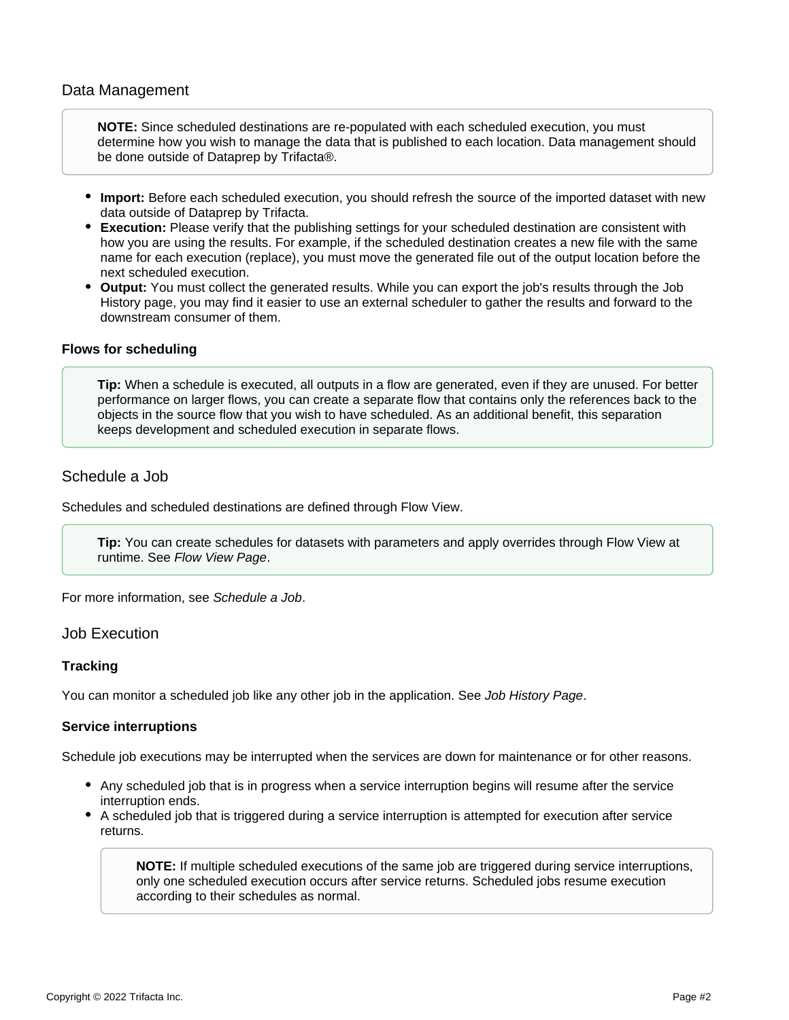### <span id="page-1-0"></span>Data Management

**NOTE:** Since scheduled destinations are re-populated with each scheduled execution, you must determine how you wish to manage the data that is published to each location. Data management should be done outside of Dataprep by Trifacta®.

- **Import:** Before each scheduled execution, you should refresh the source of the imported dataset with new data outside of Dataprep by Trifacta.
- **Execution:** Please verify that the publishing settings for your scheduled destination are consistent with how you are using the results. For example, if the scheduled destination creates a new file with the same name for each execution (replace), you must move the generated file out of the output location before the next scheduled execution.
- **Output:** You must collect the generated results. While you can export the job's results through the Job History page, you may find it easier to use an external scheduler to gather the results and forward to the downstream consumer of them.

#### <span id="page-1-1"></span>**Flows for scheduling**

**Tip:** When a schedule is executed, all outputs in a flow are generated, even if they are unused. For better performance on larger flows, you can create a separate flow that contains only the references back to the objects in the source flow that you wish to have scheduled. As an additional benefit, this separation keeps development and scheduled execution in separate flows.

## <span id="page-1-2"></span>Schedule a Job

Schedules and scheduled destinations are defined through Flow View.

**Tip:** You can create schedules for datasets with parameters and apply overrides through Flow View at runtime. See [Flow View Page](https://docs.trifacta.com/display/DP/Flow+View+Page).

For more information, see [Schedule a Job](https://docs.trifacta.com/display/DP/Schedule+a+Job).

#### <span id="page-1-3"></span>Job Execution

#### <span id="page-1-4"></span>**Tracking**

You can monitor a scheduled job like any other job in the application. See [Job History Page](https://docs.trifacta.com/display/DP/Job+History+Page).

#### <span id="page-1-5"></span>**Service interruptions**

Schedule job executions may be interrupted when the services are down for maintenance or for other reasons.

- Any scheduled job that is in progress when a service interruption begins will resume after the service interruption ends.
- A scheduled job that is triggered during a service interruption is attempted for execution after service returns.

**NOTE:** If multiple scheduled executions of the same job are triggered during service interruptions, only one scheduled execution occurs after service returns. Scheduled jobs resume execution according to their schedules as normal.